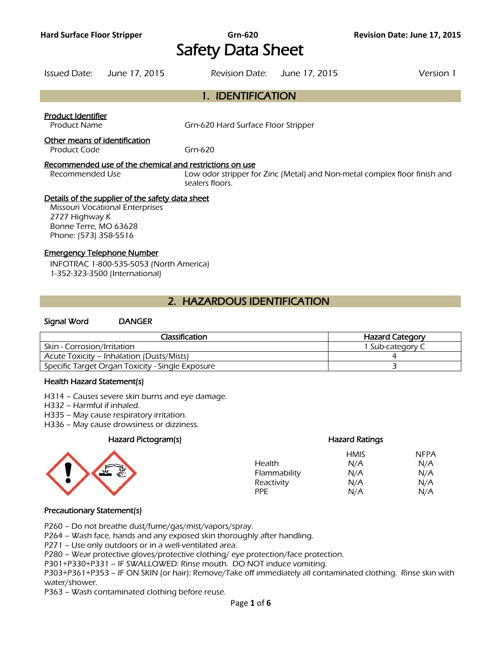# **Hard Surface Floor Stripper Grn-620 Revision Date: June 17, 2015**  Safety Data Sheet

| Issued Date:                                                     | June 17, 2015                                                                              | Revision Date: June 17, 2015                                               |                                                                           | Version 1 |
|------------------------------------------------------------------|--------------------------------------------------------------------------------------------|----------------------------------------------------------------------------|---------------------------------------------------------------------------|-----------|
|                                                                  |                                                                                            | 1. IDENTIFICATION                                                          |                                                                           |           |
| Product Identifier<br><b>Product Name</b>                        |                                                                                            | Grn-620 Hard Surface Floor Stripper                                        |                                                                           |           |
| Other means of identification<br>Product Code                    |                                                                                            | Grn-620                                                                    |                                                                           |           |
| Recommended Use                                                  |                                                                                            | Recommended use of the chemical and restrictions on use<br>sealers floors. | Low odor stripper for Zinc (Metal) and Non-metal complex floor finish and |           |
| 2727 Highway K<br>Bonne Terre, MO 63628<br>Phone: (573) 358-5516 | Details of the supplier of the safety data sheet<br><b>Missouri Vocational Enterprises</b> |                                                                            |                                                                           |           |

#### Emergency Telephone Number

INFOTRAC 1-800-535-5053 (North America) 1-352-323-3500 (International)

# 2. HAZARDOUS IDENTIFICATION

#### Signal Word DANGER

| Classification                                   | <b>Hazard Category</b> |
|--------------------------------------------------|------------------------|
| Skin - Corrosion/Irritation                      | 1 Sub-category C       |
| Acute Toxicity – Inhalation (Dusts/Mists)        |                        |
| Specific Target Organ Toxicity - Single Exposure |                        |
|                                                  |                        |

#### Health Hazard Statement(s)

H314 – Causes severe skin burns and eye damage.

H332 – Harmful if inhaled.

H335 – May cause respiratory irritation.

H336 – May cause drowsiness or dizziness.

#### Hazard Pictogram(s)



| <b>Hazard Ratings</b> |             |
|-----------------------|-------------|
| <b>HMIS</b>           | <b>NFPA</b> |
| N/A                   | N/A         |
| N/A                   | N/A         |
| N/A                   | N/A         |
| N/A                   | N/A         |
|                       |             |

#### Precautionary Statement(s)

P260 – Do not breathe dust/fume/gas/mist/vapors/spray.

P264 – Wash face, hands and any exposed skin thoroughly after handling.

P271 – Use only outdoors or in a well-ventilated area.

P280 – Wear protective gloves/protective clothing/ eye protection/face protection.

P301+P330+P331 – IF SWALLOWED: Rinse mouth. DO NOT induce vomiting.

P303+P361+P353 – IF ON SKIN (or hair): Remove/Take off immediately all contaminated clothing. Rinse skin with water/shower.

P363 – Wash contaminated clothing before reuse.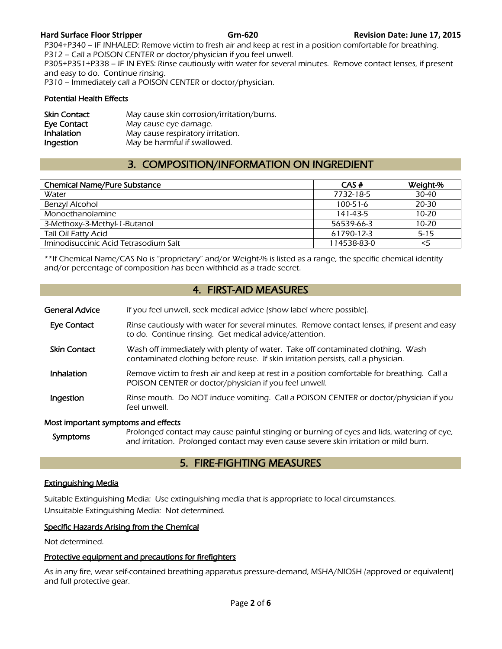P304+P340 – IF INHALED: Remove victim to fresh air and keep at rest in a position comfortable for breathing. P312 – Call a POISON CENTER or doctor/physician if you feel unwell. P305+P351+P338 – IF IN EYES: Rinse cautiously with water for several minutes. Remove contact lenses, if present and easy to do. Continue rinsing. P310 – Immediately call a POISON CENTER or doctor/physician.

#### Potential Health Effects

| <b>Skin Contact</b> | May cause skin corrosion/irritation/burns. |
|---------------------|--------------------------------------------|
| Eye Contact         | May cause eye damage.                      |
| Inhalation          | May cause respiratory irritation.          |
| Ingestion           | May be harmful if swallowed.               |

# 3. COMPOSITION/INFORMATION ON INGREDIENT

| <b>Chemical Name/Pure Substance</b>   | CAS#           | Weight-%  |
|---------------------------------------|----------------|-----------|
| Water                                 | 7732-18-5      | 30-40     |
| Benzyl Alcohol                        | $100 - 51 - 6$ | 20-30     |
| Monoethanolamine                      | 141-43-5       | $10 - 20$ |
| 3-Methoxy-3-Methyl-1-Butanol          | 56539-66-3     | $10 - 20$ |
| <b>Tall Oil Fatty Acid</b>            | 61790-12-3     | $5 - 15$  |
| Iminodisuccinic Acid Tetrasodium Salt | 114538-83-0    | $<$ 5     |
|                                       |                |           |

\*\*If Chemical Name/CAS No is "proprietary" and/or Weight-% is listed as a range, the specific chemical identity and/or percentage of composition has been withheld as a trade secret.

# 4. FIRST-AID MEASURES

- General Advice If you feel unwell, seek medical advice (show label where possible).
- Eye Contact Rinse cautiously with water for several minutes. Remove contact lenses, if present and easy to do. Continue rinsing. Get medical advice/attention.
- Skin Contact Wash off immediately with plenty of water. Take off contaminated clothing. Wash contaminated clothing before reuse. If skin irritation persists, call a physician.
- Inhalation Remove victim to fresh air and keep at rest in a position comfortable for breathing. Call a POISON CENTER or doctor/physician if you feel unwell.
- **Ingestion** Rinse mouth. Do NOT induce vomiting. Call a POISON CENTER or doctor/physician if you feel unwell.

#### Most important symptoms and effects

Symptoms Prolonged contact may cause painful stinging or burning of eyes and lids, watering of eye,<br>
Symptoms<br>
Symptoms<br>
Symptoms<br>
Symptoms<br>
Symptoms<br>
Symptoms<br>
Symptoms<br>
Symptoms<br>
Symptoms<br>
Symptoms<br>
Symptoms<br>
Symptoms<br>
S and irritation. Prolonged contact may even cause severe skin irritation or mild burn.

# 5. FIRE-FIGHTING MEASURES

#### Extinguishing Media

Suitable Extinguishing Media: Use extinguishing media that is appropriate to local circumstances. Unsuitable Extinguishing Media: Not determined.

#### Specific Hazards Arising from the Chemical

Not determined.

#### Protective equipment and precautions for firefighters

As in any fire, wear self-contained breathing apparatus pressure-demand, MSHA/NIOSH (approved or equivalent) and full protective gear.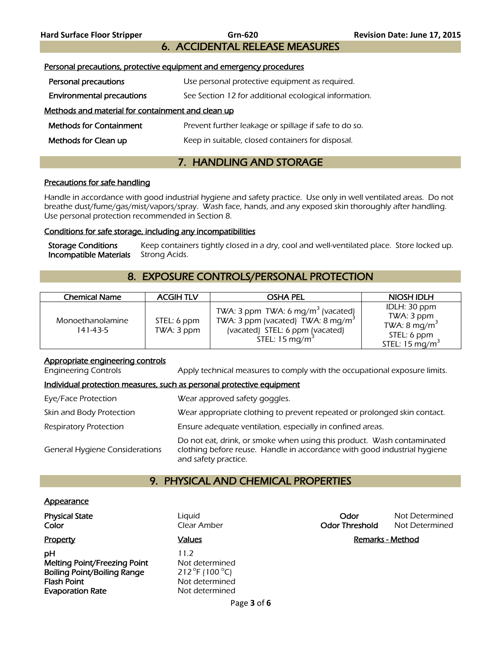6. ACCIDENTAL RELEASE MEASURES

# Personal precautions, protective equipment and emergency procedures Personal precautions Use personal protective equipment as required. **Environmental precautions** See Section 12 for additional ecological information. Methods and material for containment and clean up Methods for Containment **Prevent further leakage or spillage if safe to do so. Methods for Clean up** Keep in suitable, closed containers for disposal.

# 7. HANDLING AND STORAGE

#### Precautions for safe handling

Handle in accordance with good industrial hygiene and safety practice. Use only in well ventilated areas. Do not breathe dust/fume/gas/mist/vapors/spray. Wash face, hands, and any exposed skin thoroughly after handling. Use personal protection recommended in Section 8.

#### Conditions for safe storage, including any incompatibilities

Storage Conditions Keep containers tightly closed in a dry, cool and well-ventilated place. Store locked up. **Incompatible Materials** Strong Acids.

# 8. EXPOSURE CONTROLS/PERSONAL PROTECTION

| <b>Chemical Name</b>         | <b>ACGIHTLV</b>           | <b>OSHA PEL</b>                                                                                                                                                | NIOSH IDLH                                                                                         |
|------------------------------|---------------------------|----------------------------------------------------------------------------------------------------------------------------------------------------------------|----------------------------------------------------------------------------------------------------|
| Monoethanolamine<br>141-43-5 | STEL: 6 ppm<br>TWA: 3 ppm | TWA: 3 ppm TWA: 6 mg/m <sup>3</sup> (vacated)<br>TWA: 3 ppm (vacated) TWA: 8 mg/m <sup>3</sup><br>(vacated) STEL: 6 ppm (vacated)<br>STEL: $15 \text{ mg/m}^3$ | IDLH: 30 ppm<br>TWA: 3 ppm<br>TWA: 8 mg/m <sup>3</sup><br>STEL: 6 ppm<br>STEL: $15 \text{ mg/m}^3$ |

#### Appropriate engineering controls

Engineering Controls Apply technical measures to comply with the occupational exposure limits.

#### Individual protection measures, such as personal protective equipment

| Eye/Face Protection                   | Wear approved safety goggles.                                                                                                                                              |
|---------------------------------------|----------------------------------------------------------------------------------------------------------------------------------------------------------------------------|
| Skin and Body Protection              | Wear appropriate clothing to prevent repeated or prolonged skin contact.                                                                                                   |
| <b>Respiratory Protection</b>         | Ensure adequate ventilation, especially in confined areas.                                                                                                                 |
| <b>General Hygiene Considerations</b> | Do not eat, drink, or smoke when using this product. Wash contaminated<br>clothing before reuse. Handle in accordance with good industrial hygiene<br>and safety practice. |

# 9. PHYSICAL AND CHEMICAL PROPERTIES

#### Appearance

| <b>Physical State</b><br>Color     | Liguid<br>Clear Amber             | Odor<br><b>Odor Threshold</b> | Not Determined<br>Not Determined |
|------------------------------------|-----------------------------------|-------------------------------|----------------------------------|
| <b>Property</b>                    | <b>Values</b>                     |                               | Remarks - Method                 |
| рH                                 | 11.2                              |                               |                                  |
| Melting Point/Freezing Point       | Not determined                    |                               |                                  |
| <b>Boiling Point/Boiling Range</b> | 212 $\degree$ F (100 $\degree$ C) |                               |                                  |
| <b>Flash Point</b>                 | Not determined                    |                               |                                  |
| <b>Evaporation Rate</b>            | Not determined                    |                               |                                  |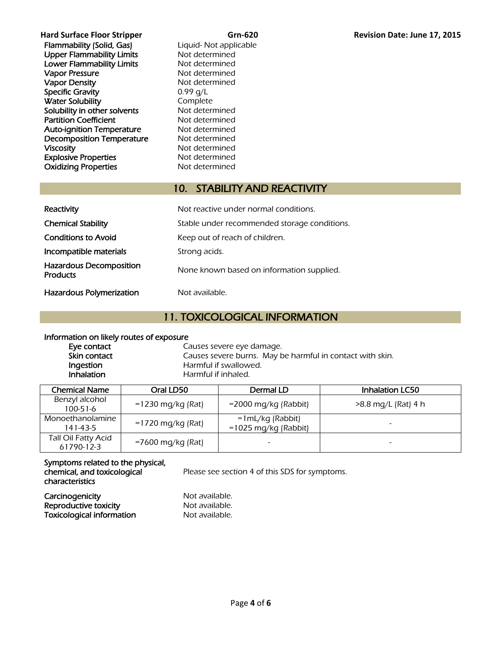| <b>Hard Surface Floor Stripper</b> |
|------------------------------------|
| <b>Flammability (Solid, Gas)</b>   |
| <b>Upper Flammability Limits</b>   |
| <b>Lower Flammability Limits</b>   |
| <b>Vapor Pressure</b>              |
| <b>Vapor Density</b>               |
| <b>Specific Gravity</b>            |
| <b>Water Solubility</b>            |
| Solubility in other solvents       |
| <b>Partition Coefficient</b>       |
| <b>Auto-ignition Temperature</b>   |
| <b>Decomposition Temperature</b>   |
| <b>Viscosity</b>                   |
| <b>Explosive Properties</b>        |
| <b>Oxidizing Properties</b>        |

Liquid- Not applicable Not determined Not determined Not determined Not determined  $0.99$  g/L Complete Not determined Not determined Not determined Not determined Not determined Not determined Not determined

# 10. STABILITY AND REACTIVITY

| Reactivity                                        | Not reactive under normal conditions.        |
|---------------------------------------------------|----------------------------------------------|
| <b>Chemical Stability</b>                         | Stable under recommended storage conditions. |
| <b>Conditions to Avoid</b>                        | Keep out of reach of children.               |
| Incompatible materials                            | Strong acids.                                |
| <b>Hazardous Decomposition</b><br><b>Products</b> | None known based on information supplied.    |
| <b>Hazardous Polymerization</b>                   | Not available.                               |

# 11. TOXICOLOGICAL INFORMATION

#### Information on likely routes of exposure

Eye contact **Causes** Severe eye damage. Skin contact Causes severe burns. May be harmful in contact with skin.<br>
Ingestion Causes Harmful if swallowed. **Ingestion**<br> **Inhalation**<br>
Harmful if inhaled. Harmful if inhaled.

| Chemical Name                     | Oral LD50           | Dermal LD                                     | <b>Inhalation LC50</b> |
|-----------------------------------|---------------------|-----------------------------------------------|------------------------|
| Benzyl alcohol<br>$100 - 51 - 6$  | $=1230$ mg/kg (Rat) | $=$ 2000 mg/kg (Rabbit)                       | >8.8 mg/L (Rat) 4 h    |
| Monoethanolamine<br>141-43-5      | $=1720$ mg/kg (Rat) | $=1 mL/kg$ (Rabbit)<br>$=1025$ mg/kg (Rabbit) |                        |
| Tall Oil Fatty Acid<br>61790-12-3 | =7600 mg/kg (Rat)   |                                               |                        |

### Symptoms related to the physical, chemical, and toxicological characteristics

Please see section 4 of this SDS for symptoms.

Carcinogenicity<br>
Reproductive toxicity<br>
Not available. Reproductive toxicity Toxicological information Not available.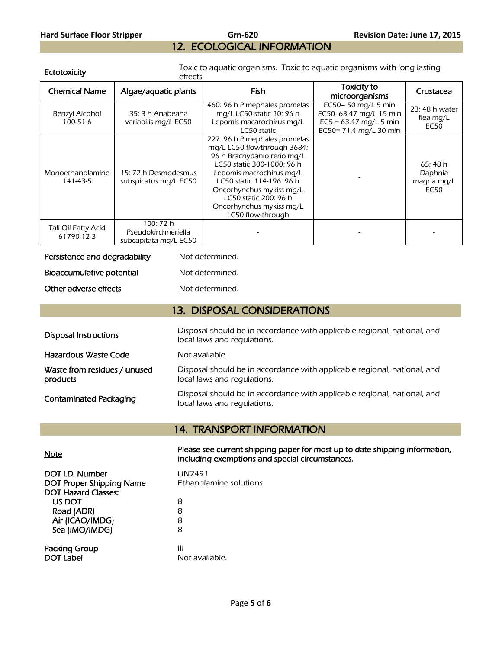# **Hard Surface Floor Stripper Grn-620 Revision Date: June 17, 2015**  12. ECOLOGICAL INFORMATION

Ectotoxicity **Toxic to aquatic organisms.** Toxic to aquatic organisms with long lasting effects.

| <b>Chemical Name</b>                     | Algae/aquatic plants                                      | Fish                                                                                                                                                                                                                                                                                     | <b>Toxicity to</b><br>microorganisms                                                               | Crustacea                                |
|------------------------------------------|-----------------------------------------------------------|------------------------------------------------------------------------------------------------------------------------------------------------------------------------------------------------------------------------------------------------------------------------------------------|----------------------------------------------------------------------------------------------------|------------------------------------------|
| Benzyl Alcohol<br>$100 - 51 - 6$         | 35: 3 h Anabeana<br>variabilis mg/L EC50                  | 460: 96 h Pimephales promelas<br>mg/L LC50 static 10: 96 h<br>Lepomis macarochirus mg/L<br>LC50 static                                                                                                                                                                                   | EC50-50 mg/L 5 min<br>EC50-63.47 mg/L 15 min<br>EC5-= $63.47$ mg/L 5 min<br>EC50= 71.4 mg/L 30 min | 23:48 h water<br>flea mg/L<br>EC50       |
| Monoethanolamine<br>141-43-5             | 15: 72 h Desmodesmus<br>subspicatus mg/L EC50             | 227: 96 h Pimephales promelas<br>mq/L LC50 flowthrough 3684:<br>96 h Brachydanio rerio mq/L<br>LC50 static 300-1000: 96 h<br>Lepomis macrochirus mg/L<br>LC50 static 114-196: 96 h<br>Oncorhynchus mykiss mg/L<br>LC50 static 200: 96 h<br>Oncorhynchus mykiss mg/L<br>LC50 flow-through |                                                                                                    | 65:48 h<br>Daphnia<br>magna mg/L<br>EC50 |
| <b>Tall Oil Fatty Acid</b><br>61790-12-3 | 100: 72 h<br>Pseudokirchneriella<br>subcapitata mg/L EC50 |                                                                                                                                                                                                                                                                                          |                                                                                                    |                                          |

| Persistence and degradability | Not determined. |
|-------------------------------|-----------------|
| Bioaccumulative potential     | Not determined. |
| Other adverse effects         | Not determined. |

| 13. DISPOSAL CONSIDERATIONS              |                                                                                                         |  |
|------------------------------------------|---------------------------------------------------------------------------------------------------------|--|
| <b>Disposal Instructions</b>             | Disposal should be in accordance with applicable regional, national, and<br>local laws and regulations. |  |
| Hazardous Waste Code                     | Not available.                                                                                          |  |
| Waste from residues / unused<br>products | Disposal should be in accordance with applicable regional, national, and<br>local laws and regulations. |  |
| <b>Contaminated Packaging</b>            | Disposal should be in accordance with applicable regional, national, and<br>local laws and regulations. |  |

# 14. TRANSPORT INFORMATION

| <u>Note</u> | Please see current shipping paper for most up to date shipping information, |
|-------------|-----------------------------------------------------------------------------|
|             | including exemptions and special circumstances.                             |

| DOT I.D. Number<br><b>DOT Proper Shipping Name</b> | UN2491<br>Ethanolamine solutions |
|----------------------------------------------------|----------------------------------|
| <b>DOT Hazard Classes:</b><br>US DOT               |                                  |
| Road (ADR)                                         | 8<br>8                           |
| Air (ICAO/IMDG)                                    | 8                                |
| Sea (IMO/IMDG)                                     | 8                                |
| <b>Packing Group</b>                               | Ш                                |
| <b>DOT Label</b>                                   | Not available.                   |